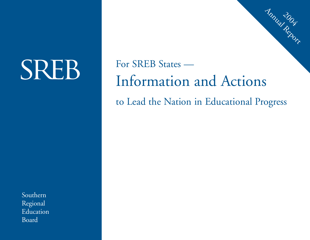# **SREB**

For SREB States —Information and Actions to Lead the Nation in Educational Progress

2004 Annual Report

Southern Regional Education Board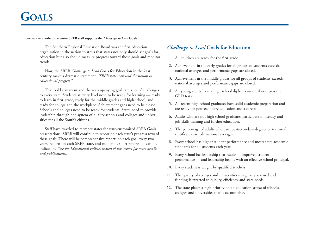# **GOALS**

**In one way or another, the entire SREB staff supports the** *Challenge to Lead* **Goals**

The Southern Regional Education Board was the first education organization in the nation to stress that states not only should set goals for education but also should measure progress toward those goals and monitor trends.

Now, the SREB *Challenge to Lead* Goals for Education in the 21st century make a dramatic statement: *"SREB states can lead the nation in educational progress."*

That bold statement and the accompanying goals are a set of challenges to every state. Students at every level need to be ready for learning — ready to learn in first grade, ready for the middle grades and high school, and ready for college and the workplace. Achievement gaps need to be closed. Schools and colleges need to be ready for students. States need to provide leadership through one system of quality schools and colleges and universities for all the South's citizens.

Staff have traveled to member states for state-customized SREB Goals presentations. SREB will continue to report on each state's progress toward these goals. There will be comprehensive reports on each goal every two years, reports on each SREB state, and numerous short reports on various indicators. *(See the Educational Policies section of this report for more details and publications.)*

# *Challenge to Lead* **Goals for Education**

- 1. All children are ready for the first grade.
- 2. Achievement in the early grades for all groups of students exceeds national averages and performance gaps are closed.
- 3. Achievement in the middle grades for all groups of students exceeds national averages and performance gaps are closed.
- 4. All young adults have a high school diploma or, if not, pass the GED tests.
- 5. All recent high school graduates have solid academic preparation and are ready for postsecondary education and a career.
- 6. Adults who are not high school graduates participate in literacy and job-skills training and further education.
- 7. The percentage of adults who earn postsecondary degrees or technical certificates exceeds national averages.
- 8. Every school has higher student performance and meets state academic standards for all students each year.
- 9. Every school has leadership that results in improved student performance — and leadership begins with an effective school principal.
- 10. Every student is taught by qualified teachers.
- 11. The quality of colleges and universities is regularly assessed and funding is targeted to quality, efficiency and state needs.
- 12. The state places a high priority on an education *system* of schools, colleges and universities that is accountable.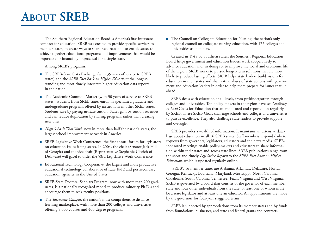# **ABOUT SREB**

The Southern Regional Education Board is America's first interstate compact for education. SREB was created to provide specific services to member states, to create ways to share resources, and to enable states to achieve together educational programs and improvements that would be impossible or financially impractical for a single state.

Among SREB's programs:

- The SREB-State Data Exchange (with 35 years of service to SREB states) and the *SREB Fact Book on Higher Education:* the longeststanding and most timely interstate higher education data reports in the nation.
- The Academic Common Market (with 30 years of service to SREB states): students from SREB states enroll in specialized graduate and undergraduate programs offered by institutions in other SREB states. Students save by paying in-state tuition. States gain by tuition revenues and can reduce duplication by sharing programs rather than creating new ones.
- *High Schools That Work:* now in more than half the nation's states, the largest school improvement network in America.
- SREB Legislative Work Conference: the first annual forum for legislators on education issues facing states. In 2004, the chair (Senator Jack Hill of Georgia) and the vice chair (Representative Stephanie Ulbrich of Delaware) will gavel to order the 53rd Legislative Work Conference.
- Educational Technology Cooperative: the largest and most productive educational technology collaborative of state K-12 and postsecondary education agencies in the United States.
- SREB-State Doctoral Scholars Program: now with more than 200 graduates, is a nationally recognized model to produce minority Ph.D.s and encourage them to seek faculty positions.
- The *Electronic Campus:* the nation's most comprehensive distancelearning marketplace, with more than 200 colleges and universities offering 9,000 courses and 400 degree programs.

■ The Council on Collegiate Education for Nursing: the nation's only regional council on collegiate nursing education, with 175 colleges and universities as members.

Created in 1948 by Southern states, the Southern Regional Education Board helps government and education leaders work cooperatively to advance education and, in doing so, to improve the social and economic life of the region. SREB works to pursue longer-term solutions that are more likely to produce lasting effects. SREB helps state leaders build visions for education in their states and shares its analyses of state actions with government and education leaders in order to help them prepare for issues that lie ahead.

SREB deals with education at all levels, from prekindergarten through colleges and universities. Top policy-makers in the region have set *Challenge to Lead* Goals for Education that are monitored and reported on regularly by SREB. These SREB Goals challenge schools and colleges and universities to pursue excellence. They also challenge state leaders to provide support and oversight.

SREB provides a wealth of information. It maintains an extensive database about education in all 16 SREB states. Staff members respond daily to requests from governors, legislators, educators and the news media. SREBsponsored meetings enable policy-makers and educators to share information within their states and across state lines. SREB publications range from the short and timely *Legislative Reports* to the *SREB Fact Book on Higher Education,* which is updated regularly online.

SREB's 16 member states are Alabama, Arkansas, Delaware, Florida, Georgia, Kentucky, Louisiana, Maryland, Mississippi, North Carolina, Oklahoma, South Carolina, Tennessee, Texas, Virginia and West Virginia. SREB is governed by a board that consists of the governor of each member state and four other individuals from the state, at least one of whom must be a state legislator and at least one an educator. All appointments are made by the governors for four-year staggered terms.

SREB is supported by appropriations from its member states and by funds from foundations, businesses, and state and federal grants and contracts.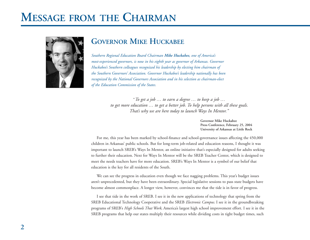# **MESSAGE FROM THE CHAIRMAN**



# **GOVERNOR MIKE HUCKABEE**

*Southern Regional Education Board Chairman Mike Huckabee, one of America's most-experienced governors, is now in his eighth year as governor of Arkansas. Governor Huckabee's Southern colleagues recognized his leadership by electing him chairman of the Southern Governors' Association. Governor Huckabee's leadership nationally has been recognized by the National Governors Association and in his selection as chairman-elect of the Education Commission of the States.*

> "*To get a job … to earn a degree … to keep a job … to get more education … to get a better job. To help persons with all these goals. That's why we are here today to launch Ways In Mentor."*

> > **Governor Mike HuckabeePress Conference, February 25, 2004 University of Arkansas at Little Rock**

For me, this year has been marked by school-finance and school-governance issues affecting the 450,000 children in Arkansas' public schools. But for long-term job-related and education reasons, I thought it was important to launch SREB's Ways In Mentor, an online initiative that's especially designed for adults seeking to further their education. Next for Ways In Mentor will be the SREB Teacher Center, which is designed to meet the needs teachers have for more education. SREB's Ways In Mentor is a symbol of our belief that education is the key for all residents of the South.

We can see the progress in education even though we face nagging problems. This year's budget issues aren't unprecedented, but they have been extraordinary. Special legislative sessions to pass state budgets have become almost commonplace. A longer view, however, convinces me that the tide is in favor of progress.

I see that tide in the work of SREB. I see it in the new applications of technology that spring from the SREB Educational Technology Cooperative and the SREB *Electronic Campus.* I see it in the groundbreaking programs of SREB's *High Schools That Work,* America's largest high school improvement effort. I see it in the SREB programs that help our states multiply their resources while dividing costs in tight budget times, such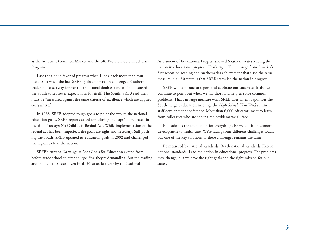as the Academic Common Market and the SREB-State Doctoral Scholars Program.

I see the tide in favor of progress when I look back more than four decades to when the first SREB goals commission challenged Southern leaders to "cast away forever the traditional double standard" that caused the South to set lower expectations for itself. The South, SREB said then, must be "measured against the same criteria of excellence which are applied everywhere."

In 1988, SREB adopted tough goals to point the way to the national education goals. SREB reports called for "closing the gaps" — reflected in the aim of today's No Child Left Behind Act. While implementation of the federal act has been imperfect, the goals are right and necessary. Still pushing the South, SREB updated its education goals in 2002 and challenged the region to lead the nation.

SREB's current *Challenge to Lead* Goals for Education extend from before grade school to after college. Yes, they're demanding. But the reading and mathematics tests given in all 50 states last year by the National

Assessment of Educational Progress showed Southern states leading the nation in educational progress. That's right. The message from America's first report on reading and mathematics achievement that used the same measure in all 50 states is that SREB states led the nation in progress.

SREB will continue to report and celebrate our successes. It also will continue to point out when we fall short and help us solve common problems. That's in large measure what SREB does when it sponsors the South's largest education meeting: the *High Schools That Work* summer staff development conference. More than 6,000 educators meet to learn from colleagues who are solving the problems we all face.

Education is the foundation for everything else we do, from economic development to health care. We're facing some different challenges today, but one of the key solutions to these challenges remains the same.

Be measured by national standards. Reach national standards. Exceed national standards. Lead the nation in educational progress. The problems may change, but we have the right goals and the right mission for our states.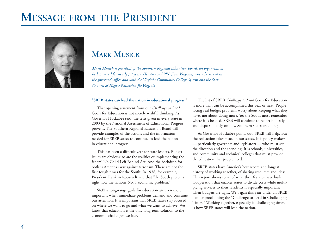# **MESSAGE FROM THE PRESIDENT**



# **MARK MUSICK**

*Mark Musick is president of the Southern Regional Education Board, an organization he has served for nearly 30 years. He came to SREB from Virginia, where he served in the governor's office and with the Virginia Community College System and the State Council of Higher Education for Virginia.*

#### **"SREB states can lead the nation in educational progress.**"

That opening statement from our *Challenge to Lead* Goals for Education is not merely wishful thinking. As Governor Huckabee said, the tests given in every state in 2003 by the National Assessment of Educational Progress prove it. The Southern Regional Education Board will provide examples of the actions and the information needed for SREB states to continue to lead the nation in educational progress.

This has been a difficult year for state leaders. Budget issues are obvious; so are the realities of implementing the federal No Child Left Behind Act. And the backdrop for both is America's war against terrorism. These are not the first tough times for the South: In 1938, for example, President Franklin Roosevelt said that "the South presents right now the nation's No. 1 economic problem."

SREB's long-range goals for education are even more important when immediate problems demand and consume our attention. It is important that SREB states stay focused on where we want to go and what we want to achieve. We know that education is the only long-term solution to the economic challenges we face.

The list of SREB *Challenge to Lead* Goals for Education is more than can be accomplished this year or next. People facing real budget problems worry about keeping what they have, not about doing more. Yet the South must remember where it is headed. SREB will continue to report honestly and dispassionately on how Southern states are doing.

As Governor Huckabee points out, SREB will help. But the real action takes place in our states. It is policy-makers — particularly governors and legislators — who must set the direction and the spending. It is schools, universities, and community and technical colleges that must provide the education that people need.

SREB states have America's best record and longest history of working together, of sharing resources and ideas. This report shows some of what the 16 states have built. Cooperation that enables states to divide costs while multi<sup>p</sup>lying services to their residents is especially important when budgets are tight. We began this year under an SREB banner proclaiming the "Challenge to Lead in Challenging Times." Working together, especially in challenging times, is how SREB states will lead the nation.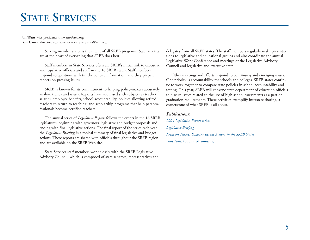# **STATE SERVICES**

**Jim Watts,** vice president: jim.watts@sreb.org **Gale Gaines,** director, legislative services: gale.gaines@sreb.org

> Serving member states is the intent of all SREB programs. State services are at the heart of everything that SREB does best.

> Staff members in State Services often are SREB's initial link to executive and legislative officials and staff in the 16 SREB states. Staff members respond to questions with timely, concise information, and they prepare reports on pressing issues.

> SREB is known for its commitment to helping policy-makers accurately analyze trends and issues. Reports have addressed such subjects as teacher salaries, employee benefits, school accountability, policies allowing retired teachers to return to teaching, and scholarship programs that help paraprofessionals become certified teachers.

> The annual series of *Legislative Reports* follows the events in the 16 SREB legislatures, beginning with governors' legislative and budget proposals and ending with final legislative actions. The final report of the series each year, the *Legislative Briefing,* is a topical summary of final legislative and budget actions. These reports are shared with officials throughout the SREB region and are available on the SREB Web site.

> State Services staff members work closely with the SREB Legislative Advisory Council, which is composed of state senators, representatives and

delegates from all SREB states. The staff members regularly make presentations to legislative and educational groups and also coordinate the annual Legislative Work Conference and meetings of the Legislative Advisory Council and legislative and executive staff.

Other meetings and efforts respond to continuing and emerging issues. One priority is accountability for schools and colleges. SREB states continue to work together to compare state policies in school accountability and testing. This year, SREB will convene state department of education officials to discuss issues related to the use of high school assessments as a part of graduation requirements. These activities exemplify interstate sharing, a cornerstone of what SREB is all about.

#### *Publications:*

*2004 Legislative Report* series *Legislative Briefing Focus on Teacher Salaries: Recent Actions in the SREB States State Notes* (published annually)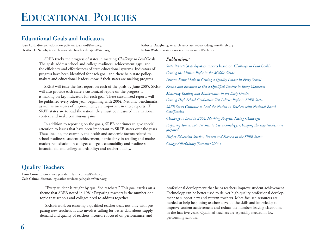# **EDUCATIONAL POLICIES**

# **Educational Goals and Indicators**

**Joan Lord,** director, education policies: joan.lord@sreb.org **Rebecca Daugherty,** research associate: rebecca.daugherty@sreb.org **Heather DiNapoli,** research associate: heather.dinapoli@sreb.org **Robin Wade,** research associate: robin.wade@sreb.org

SREB tracks the progress of states in meeting *Challenge to Lead* Goals. The goals address school and college readiness, achievement gaps, and the efficiency and effectiveness of state educational systems. Indicators of progress have been identified for each goal, and these help state policymakers and educational leaders know if their states are making progress.

SREB will issue the first report on each of the goals by June 2005. SREB will also provide each state a customized report on the progress it is making on key indicators for each goal. These customized reports will be published every other year, beginning with 2004. National benchmarks, as well as measures of improvement, are important in these reports. If SREB states are to lead the nation, they must be measured in a national context and make continuous gains.

In addition to reporting on the goals, SREB continues to give special attention to issues that have been important to SREB states over the years. These include, for example, the health and academic factors related to school readiness; student achievement, particularly in reading and mathematics; remediation in college; college accountability and readiness; financial aid and college affordability; and teacher quality.

### *Publications:*

*State Reports* (state-by-state reports based on *Challenge to Lead* Goals) *Getting the Mission Right in the Middle Grades Progress Being Made in Getting a Quality Leader in Every School Resolve and Resources to Get a Qualified Teacher in Every Classroom Mastering Reading and Mathematics in the Early Grades Getting High School Graduation Test Policies Right in SREB States SREB States Continue to Lead the Nation in Teachers with National BoardCertification Challenge to Lead in 2004: Marking Progress, Facing Challenges Preparing Tomorrow's Teachers to Use Technology: Changing the way teachers are prepared Higher Education Studies, Reports and Surveys in the SREB States College Affordability* (Summer 2004)

# **Quality Teachers**

**Lynn Cornett,** senior vice president: lynn.cornett@sreb.org **Gale Gaines,** director, legislative services: gale.gaines@sreb.org

> "Every student is taught by qualified teachers." This goal carries on a theme that SREB noted in 1981: Preparing teachers is the number one topic that schools and colleges need to address together.

> SREB's work on ensuring a qualified teacher deals not only with preparing new teachers. It also involves calling for better data about supply, demand and quality of teachers; licensure focused on performance; and

professional development that helps teachers improve student achievement. Technology can be better used to deliver high-quality professional development to support new and veteran teachers. More-focused resources are needed to help beginning teachers develop the skills and knowledge to improve student achievement and reduce the numbers leaving classrooms in the first five years. Qualified teachers are especially needed in lowperforming schools.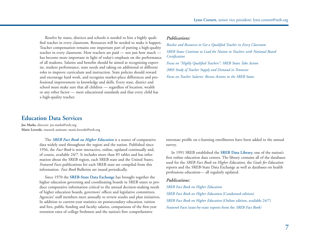Resolve by states, districts and schools is needed to hire a highly qualified teacher in every classroom. Resources will be needed to make it happen. Teacher compensation remains one important part of putting a high-quality teacher in every classroom. How teachers are paid — not just how much has become more important in light of today's emphasis on the performance of all students. Salaries and benefits should be aimed at recognizing expertise, student performance, state needs and taking on additional or different roles to improve curriculum and instruction. State policies should reward and encourage hard work, and recognize market-place differences and professional improvement in knowledge and skills. Every state, district and school must make sure that all children — regardless of location, wealth or any other factor — meet educational standards and that every child has a high-quality teacher.

#### *Publications:*

*Resolve and Resources to Get a Qualified Teacher in Every Classroom SREB States Continue to Lead the Nation in Teachers with National BoardCertification Focus on "Highly Qualified Teachers": SREB States Take Action* 

*2003 Study of Teacher Supply and Demand in Tennessee* 

*Focus on Teacher Salaries: Recent Actions in the SREB States* 

# **Education Data Services**

**Joe Marks,** director: joe.marks@sreb.org **Marie Loverde,** research assistant: marie.loverde@sreb.org

> The *SREB Fact Book on Higher Education* is a source of comparative data widely used throughout the region and the nation. Published since 1956, the *Fact Book* is now interactive, online, updated continually and, of course, available 24/7. It includes more than 85 tables and has information about the SREB region, each SREB state and the United States. *Featured Facts* publications for each SREB state are compiled from this information. *Fact Book* Bulletins are issued periodically.

Since 1970 the **SREB-State Data Exchange** has brought together the higher education governing and coordinating boards in SREB states to produce comparative information critical to the annual decision-making needs of higher education boards, governors' offices and legislative committees. Agencies' staff members meet annually to review results and plan initiatives. In addition to current-year statistics on postsecondary education, tuition and fees, public funding and faculty salaries, comparisons of the first-year retention rates of college freshmen and the nation's first comprehensive

interstate profile on e-learning enrollments have been added to the annual survey.

In 1991 SREB established the **SREB Data Library,** one of the nation's first online education data centers. The library contains all of the databases used for the *SREB Fact Book on Higher Education,* the *Goals for Education* reports and the SREB-State Data Exchange as well as databases on health professions education— all regularly updated.

#### *Publications:*

*SREB Fact Book on Higher Education*

*SREB Fact Book on Higher Education* (Condensed edition) *SREB Fact Book on Higher Education* (Online edition, available 24/7) *Featured Facts* (state-by-state reports from the *SREB Fact Book)*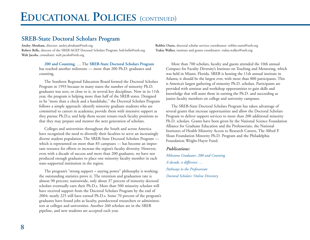# **SREB-State Doctoral Scholars Program**

**Ansley Abraham,** director: ansley.abraham@sreb.org **Robbie Ouzts,** doctoral scholar services coordinator: robbie.ouzts@sreb.org **Robert Belle,** director of the SREB-AGEP Doctoral Scholars Program: bob.belle@sreb.org **Trakia Walker,** institute and grants coordinator: trakia.walker@sreb.org **Walt Jacobs,** consultant: walt.jacobs@sreb.org

**200 and Counting**. … The **SREB-State Doctoral Scholars Program** has reached another milestone — more than 200 Ph.D. graduates and counting.

The Southern Regional Education Board formed the Doctoral Scholars Program in 1993 because in many states the number of minority Ph.D. graduates was zero, or close to it, in several key disciplines. Now in its 11th year, the program is helping more than half of the SREB states. Designed to be "more than a check and a handshake," the Doctoral Scholars Program follows a simple approach: identify minority graduate students who are committed to careers in academia; provide them with intensive support as they pursue Ph.D.s; and help them secure tenure-track faculty positions so that they may prepare and mentor the next generation of scholars.

Colleges and universities throughout the South and across America have recognized the need to diversify their faculties to serve an increasingly diverse student population. The SREB-State Doctoral Scholars Program which is represented on more than 83 campuses — has become an important resource for efforts to increase the region's faculty diversity. However, even with a decade of success and more than 200 graduates, we have not produced enough graduates to place one minority faculty member in each state-supported institution in the region.

The program's "strong support = staying power" philosophy is working; the outstanding statistics prove it. The retention and graduation rate is almost 90 percent; nationwide, only about 37 percent of minority doctoral scholars eventually earn their Ph.D.s. More than 500 minority scholars will have received support from the Doctoral Scholars Program by the end of 2004; nearly 225 will have earned Ph.D.s. Some 70 percent of the program's graduates have found jobs as faculty, postdoctoral researchers or administrators at colleges and universities. Another 260 scholars are in the SREB pipeline, and new students are accepted each year.

More than 700 scholars, faculty and guests attended the 10th annual Compact for Faculty Diversity's Institute on Teaching and Mentoring, which was held in Miami, Florida. SREB is hosting the 11th annual institute in Atlanta; it should be the largest ever, with more than 800 participants. This is America's largest gathering of minority Ph.D. scholars. Participants are provided with seminar and workshop opportunities to gain skills and knowledge that will assist them in earning the Ph.D. and succeeding as junior faculty members on college and university campuses.

The SREB-State Doctoral Scholars Program has taken advantage of several grants that increase opportunities and allow the Doctoral Scholars Program to deliver support services to more than 200 additional minority Ph.D. scholars. Grants have been given by the National Science Foundation Alliance for Graduate Education and the Professoriate, the National Institutes of Health Minority Access to Research Careers, The Alfred P. Sloan Foundation Minority Ph.D. Program and the Philadelphia Foundation Wright-Hayre Fund.

#### *Publications:*

*Milestone Graduates: 200 and Counting A decade, a difference … Pathways to the Professoriate Doctoral Scholars: Online Directory*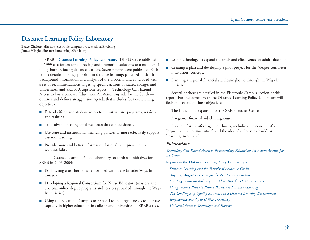# **Distance Learning Policy Laboratory**

**Bruce Chaloux,** director, electronic campus: bruce.chaloux@sreb.org **James Mingle,** director: james.mingle@sreb.org

> SREB's **Distance Learning Policy Laboratory** (DLPL) was established in 1999 as a forum for addressing and promoting solutions to a number of policy barriers facing distance learners. Seven reports were published. Each report detailed a policy problem in distance learning; provided in-depth background information and analysis of the problem; and concluded with a set of recommendations targeting specific actions by states, colleges and universities, and SREB. A capstone report — Technology Can Extend Access to Postsecondary Education: An Action Agenda for the South outlines and defines an aggressive agenda that includes four overarching objectives:

- Extend citizen and student access to infrastructure, programs, services and training.
- Take advantage of regional resources that can be shared.
- Use state and institutional financing policies to more effectively support distance learning.
- Provide more and better information for quality improvement and accountability.

The Distance Learning Policy Laboratory set forth six initiatives for SREB in 2003-2004:

- Establishing a teacher portal embedded within the broader Ways In initiative.
- Developing a Regional Consortium for Nurse Educators (master's and doctoral online degree programs and services provided through the Ways In initiative).
- Using the Electronic Campus to respond to the urgent needs to increase capacity in higher education in colleges and universities in SREB states.
- Using technology to expand the reach and effectiveness of adult education.
- Creating a plan and developing a pilot project for the "degree completer institution" concept.
- Planning a regional financial aid clearinghouse through the Ways In initiative.

Several of these are detailed in the Electronic Campus section of this report. For the current year, the Distance Learning Policy Laboratory will flesh out several of those objectives:

The launch and expansion of the SREB Teacher Center

A regional financial aid clearinghouse.

A system for transferring credit hours, including the concept of a "degree completer institution" and the idea of a "learning bank" or "learning inventory."

#### *Publications:*

*Technology Can Extend Access to Postsecondary Education: An Action Agenda for the South* 

Reports in the Distance Learning Policy Laboratory series:

*Distance Learning and the Transfer of Academic Credit Anytime, Anyplace Services for the 21st Century Student Creating Financial Aid Programs That Work for Distance Learners Using Finance Policy to Reduce Barriers to Distance Learning The Challenges of Quality Assurance in a Distance Learning Environment Empowering Faculty to Utilize Technology Universal Access to Technology and Support*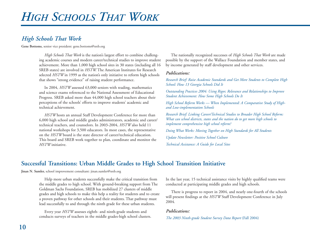# *High Schools That Work*

**Gene Bottoms,** senior vice president: gene.bottoms@sreb.org

*High Schools That Work* is the nation's largest effort to combine challenging academic courses and modern career/technical studies to improve student achievement. More than 1,000 high school sites in 30 states (including all 16 SREB states) are involved in *HSTW.* The American Institutes for Research selected *HSTW* in 1999 as the nation's only initiative to reform high schools that shows "strong evidence" of raising student performance.

In 2004, *HSTW* assessed 63,000 seniors with reading, mathematics and science exams referenced to the National Assessment of Educational Progress. SREB asked more than 44,000 high school teachers about their perceptions of the schools' efforts to improve students' academic and technical achievement.

*HSTW* hosts an annual Staff Development Conference for more than 6,000 high school and middle grades administrators, academic and career/ technical teachers, and counselors. In 2003-2004, *HSTW* also held 11 national workshops for 3,500 educators. In most cases, the representative on the *HSTW* board is the state director of career/technical education. This board and SREB work together to plan, coordinate and monitor the *HSTW* initiative.

The nationally recognized successes of *High Schools That Work* are made possible by the support of the Wallace Foundation and member states, and by income generated by staff development and other services.

### *Publications:*

*Research Brief: Raise Academic Standards and Get More Students to Complete High School: How 13 Georgia Schools Did It* 

*Outstanding Practices 2004: Using Rigor, Relevance and Relationships to Improve Student Achievement: How Some High Schools Do It* 

*High School Reform Works — When Implemented: A Comparative Study of Highand Low-implementation Schools* 

*Research Brief: Linking Career/Technical Studies to Broader High School Reform: What can school districts, states and the nation do to get more high schools to implement comprehensive high school reform?* 

*Doing What Works: Moving Together on High Standards for All Students* 

*Update Newsletter: Positive School Culture* 

*Technical Assistance: A Guide for Local Sites* 

# **Successful Transitions: Urban Middle Grades to High School Transition Initiative**

**Jinan N. Sumler,** school improvement consultant: jinan.sumler@sreb.org

Help more urban students successfully make the critical transition from the middle grades to high school. With ground-breaking support from The Goldman Sachs Foundation, SREB has mobilized 27 clusters of middle grades and high schools to make this help a reality for students and to create a proven pathway for other schools and their students. That pathway must lead successfully to and through the ninth grade for these urban students.

Every year *HSTW* assesses eighth- and ninth-grade students and conducts surveys of teachers in the middle grades-high school clusters. In the last year, 15 technical assistance visits by highly qualified teams were conducted at participating middle grades and high schools.

There is progress to report in 2004, and nearly one-fourth of the schools will present findings at the *HSTW* Staff Development Conference in July 2004.

### *Publications:*

*The 2003 Ninth-grade Student Survey Data Report* (Fall 2004)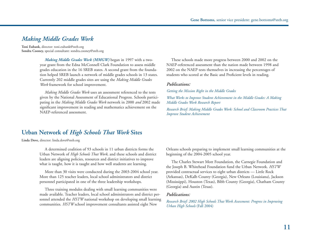# *Making Middle Grades Work*

**Toni Eubank,** director: toni.eubank@sreb.org **Sondra Cooney,** special consultant: sondra.cooney@sreb.org

> *Making Middle Grades Work (MMGW)* began in 1997 with a twoyear grant from the Edna McConnell Clark Foundation to assess middle grades education in the 16 SREB states. A second grant from the foundation helped SREB launch a network of middle grades schools in 13 states. Currently 202 middle grades sites are using the *Making Middle Grades Work* framework for school improvement.

*Making Middle Grades Work* uses an assessment referenced to the tests given by the National Assessment of Educational Progress. Schools participating in the *Making Middle Grades Work* network in 2000 *and* 2002 made significant improvement in reading and mathematics achievement on the NAEP-referenced assessment.

These schools made more progress between 2000 and 2002 on the NAEP-referenced assessment than the nation made between 1998 and 2002 on the NAEP tests themselves in increasing the percentages of students who scored at the Basic and Proficient levels in reading.

#### *Publications:*

*Getting the Mission Right in the Middle Grades* 

*What Works to Improve Student Achievement in the Middle Grades: A Making Middle Grades Work Research Report* 

*Research Brief: Making Middle Grades Work: School and Classroom Practices That Improve Student Achievement* 

# **Urban Network of** *High Schools That Work* **Sites**

**Linda Dove,** director: linda.dove@sreb.org

A determined coalition of 93 schools in 11 urban districts forms the Urban Network of *High Schools That Work,* and these schools and district leaders are aligning policies, resources and district initiatives to improve what is taught, how it is taught and how well students are learning.

More than 30 visits were conducted during the 2003-2004 school year. More than 125 teacher leaders, local school administrators and district personnel participated in one of the three leadership workshops.

Three training modules dealing with small learning communities were made available. Teacher leaders, local school administrators and district personnel attended the *HSTW* national workshop on developing small learning communities. *HSTW* school improvement consultants assisted eight New

Orleans schools preparing to implement small learning communities at the beginning of the 2004-2005 school year.

The Charles Stewart Mott Foundation, the Carnegie Foundation and the Joseph B. Whitehead Foundation fund the Urban Network. *HSTW* provided contractual services to eight urban districts — Little Rock (Arkansas), DeKalb County (Georgia), New Orleans (Louisiana), Jackson (Mississippi), Houston (Texas), Bibb County (Georgia), Chatham County (Georgia) and Austin (Texas).

#### *Publications:*

*Research Brief: 2002 High Schools That Work Assessment: Progress in Improving Urban High Schools* (Fall 2004)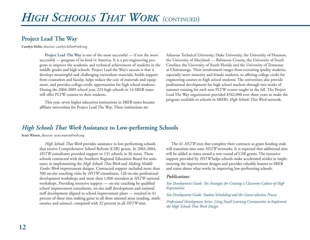# **Project Lead The Way**

**Carolyn Helm,** director: carolyn.helm@sreb.org

**Project Lead The Way** is one of the most successful — if not the most successful — program of its kind in America. It is a pre-engineering program to improve the academic and technical achievement of students in the middle grades and high schools. Project Lead the Way's success is that it develops meaningful and challenging curriculum materials, builds support from counselors and faculty, helps reduce the cost of materials and equipment, and provides college-credit opportunities for high school students. During the 2004-2005 school year, 223 high schools in 14 SREB states will offer PLTW courses to their students.

This year, seven higher education institutions in SREB states became affiliate universities for Project Lead The Way. These institutions are

Arkansas Technical University, Duke University, the University of Houston, the University of Maryland — Baltimore County, the University of South Carolina, the University of South Florida and the University of Tennessee at Chattanooga. Their involvement ranges from recruiting quality students, especially more minority and female students, to offering college credit for engineering courses to high school students. The universities also provide professional development for high school teachers through two weeks of summer training for each new PLTW course taught in the fall. The Project Lead The Way organization provided \$542,000 over three years to make the program available to schools in SREB's *High Schools That Work* network.

# *High Schools That Work* **Assistance to Low-performing Schools**

**Scott Warren,** director: scott.warren@sreb.org

*High Schools That Work* provides assistance to low-performing schools that receive Comprehensive School Reform (CSR) grants. In 2003-2004, *HSTW* consultants provided support to 131 schools in 36 states. These schools contracted with the Southern Regional Education Board for assistance in implementing the *High Schools That Work* and *Making Middle Grades Work* improvement designs. Contracted support included more than 500 on-site coaching visits by *HSTW* consultants, 126 on-site professional development workshops and more than 1,000 attendees at *HSTW* national workshops. Providing intensive support — on-site coaching by qualified school improvement consultants, on-site staff development and national staff development aligned to school improvement plans -- resulted in 41 percent of these sites making gains in all three assessed areas (reading, mathematics and science), compared with 32 percent in all *HSTW* sites.

The 41 *HSTW* sites that complete their contracts as grant funding ends will transition into state *HSTW* networks. It is expected that additional sites will be added as states award a new round of CSR grants. The intensive support provided by *HSTW* helps schools make accelerated strides in implementing the improvement designs and provides valuable lessons to SREB and states about what works in improving low-performing schools.

### *Publications:*

*Site Development Guide: Ten Strategies for Creating a Classroom Culture of High Expectations*

*Site Development Guide: Student Scheduling and the Course-selection Process* 

*Professional Development Series: Using Small Learning Communities to Implement the High Schools That Work Design*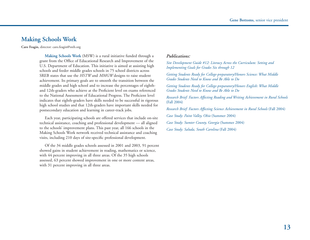# **Making Schools Work**

**Caro Feagin,** director: caro.feagin@sreb.org

**Making Schools Work** (MSW) is a rural initiative funded through a grant from the Office of Educational Research and Improvement of the U.S. Department of Education. This initiative is aimed at assisting high schools and feeder middle grades schools in 75 school districts across SREB states that use the *HSTW* and *MMGW* designs to raise student achievement. Its primary goals are to smooth the transition between the middle grades and high school and to increase the percentages of eighthand 12th-graders who achieve at the Proficient level on exams referenced to the National Assessment of Educational Progress. The Proficient level indicates that eighth-graders have skills needed to be successful in rigorous high school studies and that 12th-graders have important skills needed for postsecondary education and learning in career-track jobs.

Each year, participating schools are offered services that include on-site technical assistance, coaching and professional development — all aligned to the schools' improvement plans. This past year, all 166 schools in the Making Schools Work network received technical assistance and coaching visits, including 210 days of site-specific professional development.

Of the 34 middle grades schools assessed in 2001 and 2003, 91 percent showed gains in student achievement in reading, mathematics or science, with 44 percent improving in all three areas. Of the 35 high schools assessed, 63 percent showed improvement in one or more content areas, with 31 percent improving in all three areas.

### *Publications:*

*Site Development Guide #12: Literacy Across the Curriculum: Setting and Implementing Goals for Grades Six through 12* 

*Getting Students Ready for College-preparatory/Honors Science: What Middle Grades Students Need to Know and Be Able to Do* 

*Getting Students Ready for College-preparatory/Honors English: What Middle Grades Students Need to Know and Be Able to Do* 

*Research Brief: Factors Affecting Reading and Writing Achievement in Rural Schools* (Fall 2004)

*Research Brief: Factors Affecting Science Achievement in Rural Schools* (Fall 2004)

*Case Study: Paint Valley, Ohio* (Summer 2004)

*Case Study: Sumter County, Georgia* (Summer 2004)

*Case Study: Saluda, South Carolina* (Fall 2004)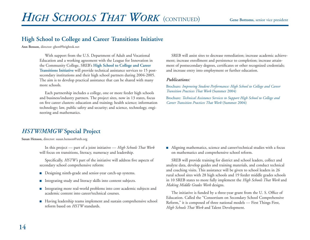# **High School to College and Career Transitions Initiative**

**Ann Benson,** director: gben@brightok.net

With support from the U.S. Department of Adult and Vocational Education and a working agreement with the League for Innovation in the Community College, SREB's **High School to College and Career Transitions Initiative** will provide technical assistance services to 15 postsecondary institutions and their high school partners during 2004-2005. The aim is to develop practical assistance that can be shared with many more schools.

Each partnership includes a college, one or more feeder high schools and business/industry partners. The project sites, now in 13 states, focus on five career clusters: education and training; health science; information technology; law, public safety and security; and science, technology, engineering and mathematics.

SREB will assist sites to decrease remediation; increase academic achievement; increase enrollment and persistence to completion; increase attainment of postsecondary degrees, certificates or other recognized credentials; and increase entry into employment or further education.

#### *Publications:*

Brochure: *Improving Student Performance: High School to College and Career Transition Practices That Work* (Summer 2004)

Brochure: *Technical Assistance Services to Support High School to College and Career Transition Practices That Work* (Summer 2004)

# *HSTW/MMGW* **Special Project**

**Susan Henson,** director: susan.henson@sreb.org

In this project — part of a joint initiative — *High Schools That Work* will focus on transitions, literacy, numeracy and leadership.

Specifically, *HSTW'*s part of the initiative will address five aspects of secondary school comprehensive reform:

- Designing ninth-grade and senior-year catch-up systems.
- Integrating study and literacy skills into content subjects.
- Integrating more real-world problems into core academic subjects and academic content into career/technical courses.
- Having leadership teams implement and sustain comprehensive school reform based on *HSTW* standards.

■ Aligning mathematics, science and career/technical studies with a focus on mathematics and comprehensive school reform.

SREB will provide training for district and school leaders, collect and analyze data, develop guides and training materials, and conduct technical and coaching visits. This assistance will be given to school leaders in 26 rural school sites with 28 high schools and 19 feeder middle grades schools in 10 SREB states to more fully implement the *High Schools That Work* and *Making Middle Grades Work* designs.

The initiative is funded by a three-year grant from the U. S. Office of Education. Called the "Consortium on Secondary School Comprehensive Reform," it is composed of three national models — First Things First, *High Schools That Work* and Talent Development.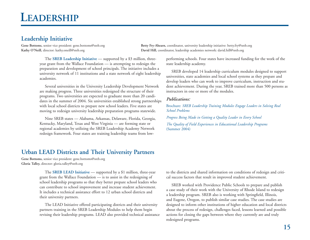# **Leadership Initiative**

Gene Bottoms, senior vice president: gene.bottoms@sreb.org **Betty Fry-Ahearn**, coordinator, university leadership initiative: betty.fry@sreb.org **Kathy O'Neill,** director: kathy.oneill@sreb.org **David Hill,** coordinator, leadership academies network: david.hill@sreb.org

The **SREB Leadership Initiative** — supported by a \$3 million, threeyear grant from the Wallace Foundation — is attempting to redesign the preparation and development of school principals. The initiative includes a university network of 11 institutions and a state network of eight leadership academies.

Several universities in the University Leadership Development Network are making progress. Three universities redesigned the structure of their programs. Two universities are expected to graduate more than 20 candidates in the summer of 2004. Six universities established strong partnerships with local school districts to prepare new school leaders. Five states are moving to redesign university leadership preparation programs statewide.

Nine SREB states –– Alabama, Arkansas, Delaware, Florida, Georgia, Kentucky, Maryland, Texas and West Virginia — are forming state or regional academies by utilizing the SREB Leadership Academy Network redesign framework. Four states are training leadership teams from low-

**Urban LEAD Districts and Their University Partners**

**Gene Bottoms,** senior vice president: gene.bottoms@sreb.org **Gloria Talley,** director: gloria.talley@sreb.org

> The **SREB LEAD Initiative** — supported by a \$1 million, three-year grant from the Wallace Foundation — is to assist in the redesigning of school leadership programs so that they better prepare school leaders who can contribute to school improvement and increase student achievement. It includes a technical assistance effort to 12 urban school districts and their university partners.

The LEAD Initiative offered participating districts and their university partners training in the SREB Leadership Modules to help them begin revising their leadership programs. LEAD also provided technical assistance performing schools. Four states have increased funding for the work of the state leadership academy. SREB developed 14 leadership curriculum modules designed to support

universities, state academies and local school systems as they prepare and develop leaders who can work to improve curriculum, instruction and stu dent achievement. During the year, SREB trained more than 500 persons as instructors in one or more of the modules.

### *Publications:*

Brochure: *SREB Leadership Training Modules Engage Leaders in Solving Real School Problems Progress Being Made in Getting a Quality Leader in Every School*

*The Quality of Field Experiences in Educational Leadership Programs* (Summer 2004)

to the districts and shared information on conditions of redesign and critical success factors that result in improved student achievement.

SREB worked with Providence Public Schools to prepare and publish a case study of their work with the University of Rhode Island to redesign a leadership program. SREB also is working with Springfield, Illinois, and Eugene, Oregon, to publish similar case studies. The case studies are designed to inform other institutions of higher education and local districts about the process of redesign, challenges faced, lessons learned and possible actions for closing the gaps between where they currently are and truly redesigned programs.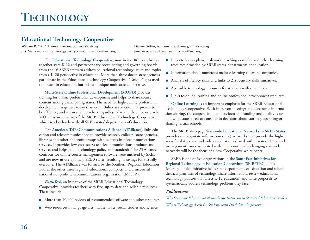# **Educational Technology Cooperative**

**William R. "Bill" Thomas,** director: bthomas@sreb.org **Dianne Griffin,** staff associate: dianne.griffin@sreb.org **J.B. Mathews,** senior technology policy adviser: jbmathews@sreb.org **June Weis,** research assistant: june.weis@sreb.org

The **Educational Technology Cooperative,** now in its 10th year, brings together state K-12 and postsecondary coordinating and governing boards from the 16 SREB states to address educational technology issues and topics from a K-20 perspective in education. More than three dozen state agencies participate in the Educational Technology Cooperative. "Unique" gets used too much in education, but this is a unique multistate cooperative.

**Multi-State Online Professional Development (MOPD)** provides training for online professional development and helps to share course content among participating states. The need for high-quality professional development is greater today than ever. Online instruction has proven to be effective, and it can reach teachers regardless of where they live or teach. MOPD is an initiative of the SREB Educational Technology Cooperative, which works closely with all SREB states' departments of education.

The **American TelEdCommunications Alliance (ATAlliance)** links education and telecommunications to provide schools, colleges, state agencies, libraries and other nonprofit groups with benefits in telecommunications services. It provides low-cost access to telecommunications products and services and helps guide technology policy and standards. The ATAlliance contracts for online course management software were initiated by SREB and are now in use by many SREB states, resulting in savings for virtually everyone. The ATAlliance was formed by the Southern Regional Education Board, the other three regional educational compacts and a successful national nonprofit telecommunications organization (MiCTA).

*EvaluTech,* an initiative of the SREB Educational Technology Cooperative, provides teachers with free, up-to-date and reliable resources. These include:

- More than 10,000 reviews of recommended software and other resources.
- Web resources in language arts, mathematics, social studies and science.
- Links to lesson plans, real-world teaching examples and other learning resources provided by SREB states' departments of education.
- Information about numerous major e-learning software companies.
- Analysis of literacy skills and links to 21st century skills initiatives.
- Accessible technology resources for students with disabilities.
- Links to online learning and online professional development resources.

**Online Learning** is an important emphasis for the SREB Educational Technology Cooperative. With in-person meetings and electronic information sharing, the cooperative members focus on funding and quality issues and what states need to consider in decisions about starting, operating or sharing virtual schools.

The SREB Web page **Statewide Educational Networks in SREB States** provides state-by-state information on 75 networks that provide the highways for data, voice and video applications shared within states. Policy and management issues associated with these continually changing statewide networks will be the focus of a new Cooperative white paper.

SREB is one of five organizations in the **SouthEast Initiatives for Regional Technology in Education Consortium (SEIR\*TEC).** This federally funded initiative helps state departments of education and school districts plan uses of technology, share information, review educational technology policies that affect K-12 education, and write proposals to systematically address technology problem they face.

### *Publications:*

*Why Statewide Educational Networks are Important to State and Education Leaders Why is Technology Access for Students with Disabilities Important?*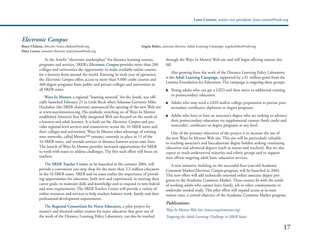# *Electronic Campus*

**Mary Larson,** associate director: mary.larson@sreb.org

**Bruce Chaloux,** director: bruce.chaloux@sreb.org **Angela Birkes,** associate director, Adult Learning Campaign: angela.birkes@sreb.org

As the South's "electronic marketplace" for distance learning courses, programs and services, SREB's *Electronic Campus* provides more than 200 colleges and universities the opportunity to make available online courses for e-learners from around the world. Entering its sixth year of operation, the *Electronic Campus* offers access to more than 9,000 credit courses and 400 degree programs from public and private colleges and universities in all SREB states.

**Ways In Mentor,** a regional "learning network" for the South, was officially launched February 25 in Little Rock when Arkansas Governor Mike Huckabee (the SREB chairman) announced the opening of the new Web site at www.waysinmentor.org. His symbolic switching on of Ways In Mentor established America's first fully integrated Web site focused on the needs of e-learners and adult learners. It is built on the *Electronic Campus* and provides regional-level services and connectivity across the 16 SREB states and their colleges and universities. Ways In Mentor takes advantage of existing state networks, called Mentor™ systems, currently in place in 11 of the 16 SREB states, and extends services to distance learners across state lines. The launch of Ways In Mentor provides increased opportunities for SREB to work with states to address challenges. The first such effort will focus on teachers.

The **SREB Teacher Center,** to be launched in the summer 2004, will provide a convenient one-stop shop for the more than 2.2 million educators in the 16 SREB states. SREB and its states realize the importance of providing opportunities for educators, both new and experienced, in meeting their career goals, to maintain skills and knowledge and to respond to new federal and state requirements. The SREB Teacher Center will provide a variety of online resources and services to help teachers balance work, family and their professional-development requirements.

The **Regional Consortium for Nurse Educators,** a pilot project for master's and doctoral online courses for nurse educators that grew out of the work of the Distance Learning Policy Laboratory, can also be reached through the Ways In Mentor Web site and will begin offering courses this fall.

Also growing from the work of the Distance Learning Policy Laboratory is the **Adult Learning Campaign,** supported by a \$1 million grant from the Lumina Foundation for Education. The campaign is targeting three groups:

- Young adults who can get a GED and then move to additional training or postsecondary education.
- Adults who may need a GED and/or college preparation to pursue postsecondary certificates, diplomas or degree programs.
- Adults who have at least an associate's degree who are seeking to advance their postsecondary education via supplemental courses (both credit and noncredit), certificates or degree programs at any level.

One of the primary objectives of the project is to increase the use of the new Ways In Mentor Web site. This site will be particularly valuable in reaching associate's and baccalaureate degree holders seeking continuing education and advanced degrees (such as nurses and teachers). But we also expect to reach underserved minority and ethnic groups and to support state efforts targeting adult basic education services.

A new initiative, building on the successful four-year-old Academic Common Market/*Electronic Campus* program, will be launched in 2004. This new effort will add technically oriented online associate degree programs to the Academic Common Market. These courses fit with the needs of working adults who cannot leave family, job or other commitments to undertake needed study. This pilot effort will expand access at in-state tuition rates, a central objective of the Academic Common Market program.

### *Publications:*

*Ways In Mentor Web Site (www.waysinmentor.org) Targeting the Adult Learning Challenge in SREB States*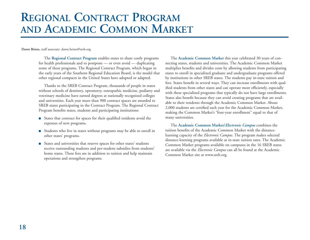# **REGIONAL CONTRACT PROGRAMAND ACADEMIC COMMON MARKET**

**Dawn Bristo,** staff associate: dawn.bristo@sreb.org

The **Regional Contract Program** enables states to share costly programs for health professionals and to postpone — or even avoid — duplicating some of these programs. The Regional Contract Program, which began in the early years of the Southern Regional Education Board, is the model that other regional compacts in the United States have adopted or adapted.

Thanks to the SREB Contract Program, thousands of people in states without schools of dentistry, optometry, osteopathic medicine, podiatry and veterinary medicine have earned degrees at nationally recognized colleges and universities. Each year more than 900 contract spaces are awarded to SREB states participating in the Contract Program. The Regional Contract Program benefits states, students and participating institutions:

- States that contract for spaces for their qualified residents avoid the expenses of new programs.
- Students who live in states without programs may be able to enroll in other states' programs.
- States and universities that reserve spaces for other states' students receive outstanding students and per-student subsidies from students' home states. These fees are in addition to tuition and help maintain operations and strengthen programs.

The **Academic Common Market** this year celebrated 30 years of connecting states, students and universities. The Academic Common Market multiplies benefits and divides costs by allowing students from participating states to enroll in specialized graduate and undergraduate programs offered by institutions in other SREB states. The students pay in-state tuition and fees. States benefit in several ways. They can increase enrollments with qualified students from other states and can operate more efficiently, especially with these specialized programs that typically do not have large enrollments. States also benefit because they can avoid creating programs that are available to their residents through the Academic Common Market. About 2,000 students are certified each year for the Academic Common Market, making the Common Market's "four-year enrollment" equal to that of many universities.

The **Academic Common Market/***Electronic Campus* combines the tuition benefits of the Academic Common Market with the distancelearning capacity of the *Electronic Campus.* The program makes selected distance-learning programs available at in-state tuition rates. The Academic Common Market programs available on campuses in the 16 SREB states are available via the *Electronic Campus* can all be found at the Academic Common Market site at www.sreb.org.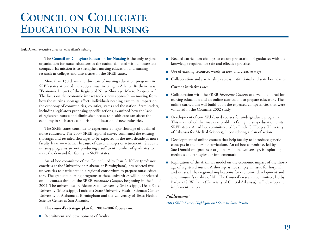# **COUNCIL ONCOLLEGIATE EDUCATION FOR NURSING**

**Eula Aiken,** executive director: eula.aiken@sreb.org

The **Council on Collegiate Education for Nursing** is the only regional organization for nurse educators in the nation affiliated with an interstate compact. Its mission is to strengthen nursing education and nursing research in colleges and universities in the SREB states.

More than 150 deans and directors of nursing education programs in SREB states attended the 2003 annual meeting in Atlanta. Its theme was "Economic Impact of the Registered Nurse Shortage: Macro Perspective." The focus on the economic impact took a new approach — moving from how the nursing shortage affects individuals needing care to its impact on the economy of communities, counties, states and the nation. State leaders, including legislators proposing specific actions, examined how the lack of registered nurses and diminished access to health care can affect the economy in such areas as tourism and location of new industries.

The SREB states continue to experience a major shortage of qualified nurse educators. The 2003 SREB regional survey confirmed the existing shortages and revealed shortages to be expected in the next decade as more faculty leave — whether because of career changes or retirement. Graduate nursing programs are not producing a sufficient number of graduates to meet the demand for faculty in SREB states.

An ad hoc committee of the Council, led by Jean A. Kelley (professor emeritus at the University of Alabama at Birmingham), has selected five universities to participate in a regional consortium to prepare nurse educators. The graduate nursing programs at these universities will pilot selected online courses through the SREB *Electronic Campus,* beginning in the fall of 2004. The universities are Alcorn State University (Mississippi), Delta State University (Mississippi), Louisiana State University Health Sciences Center, University of Alabama at Birmingham and the University of Texas Health Science Center at San Antonio.

**The council's strategic plan for 2002-2006 focuses on:**

■ Recruitment and development of faculty.

- Needed curriculum changes to ensure preparation of graduates with the knowledge required for safe and effective practice.
- Use of existing resources wisely in new and creative ways.
- Collaboration and partnerships across institutional and state boundaries. **Current initiatives are:**
- Collaboration with the SREB *Electronic Campus* to develop a portal for nursing education and an online curriculum to prepare educators. The online curriculum will build upon the expected competencies that were validated in the Council's 2002 study.
- Development of core Web-based courses for undergraduate programs. This is a method that may ease problems facing nursing education units in SREB states. An ad hoc committee, led by Linda C. Hodges (University of Arkansas for Medical Sciences), is considering a plan of action.
- Development of online courses that help faculty to introduce genetic concepts in the nursing curriculum. An ad hoc committee, led by Sue Donaldson (professor at Johns Hopkins University), is exploring methods and strategies for implementation.
- Replication of the Arkansas model on the economic impact of the shortage of registered nurses. A shortage is not simply an issue for hospitals and nurses. It has regional implications for economic development and a community's quality of life. The Council's research committee, led by Barbara G. Williams (University of Central Arkansas), will develop and implement the plan.

### *Publications:*

*2003 SREB Survey Highlights and State by State Results*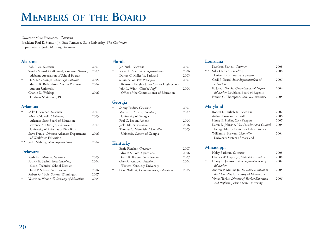# **MEMBERS OF THE BOARD**

Governor Mike Huckabee, *Chairman*

President Paul E. Stanton Jr., East Tennessee State University, *Vice Chairman* Representative Jodie Mahony, *Treasurer*

### **Alabama**

|   | <b>Bob Riley, Governor</b>                       | 2007 |
|---|--------------------------------------------------|------|
|   | Sandra Sims-deGraffenried, Executive Director,   | 2007 |
|   | Alabama Association of School Boards             |      |
| ŧ | H. Mac Gipson Jr., State Representative          | 2005 |
|   | Edward R. Richardson, <i>Interim President</i> , | 2004 |
|   | Auburn University                                |      |
|   | Charlie D. Waldrep,                              | 2006 |
|   | Gorham & Waldrep, P.C.                           |      |
|   |                                                  |      |

#### **Arkansas**

|       | Mike Huckabee, Governor                             | 2007 |
|-------|-----------------------------------------------------|------|
|       | JoNell Caldwell, Chairman,                          | 2005 |
|       | Arkansas State Board of Education                   |      |
|       | Lawrence A. Davis Jr., <i>Chancellor</i> ,          | 2007 |
|       | University of Arkansas at Pine Bluff                |      |
|       | Steve Franks, <i>Director</i> , Arkansas Department | 2006 |
|       | of Workforce Education                              |      |
| $+ *$ | Jodie Mahony, State Representative                  |      |
|       |                                                     |      |

#### **Delaware**

| Ruth Ann Minner, Governor                   | 2005 |
|---------------------------------------------|------|
| Patrick E. Savini, Superintendent,          | 2004 |
| Sussex Technical School District            |      |
| David P. Sokola, State Senator              | 2006 |
| Robert G. "Bob" Sutton, Wilmington          | 2007 |
| Valerie A. Woodruff, Secretary of Education | 2005 |

#### **Florida**

|            | Jeb Bush, <i>Governor</i>                  | 2007 |
|------------|--------------------------------------------|------|
| $\ddagger$ | Rafael L. Arza, State Representative       | 2006 |
|            | Dorsey C. Miller Jr., Parkland             | 2005 |
|            | Susan Sailor, Vice Principal,              | 2007 |
|            | Keystone Heights Junior/Senior High School |      |
| ÷          | John L. Winn, Chief of Staff,              | 2004 |
|            | Office of the Commissioner of Education    |      |
|            |                                            |      |

### **Georgia**

| ÷ | Sonny Perdue, Governor          | 2007 |
|---|---------------------------------|------|
|   | Michael F. Adams, President,    | 2007 |
|   | University of Georgia           |      |
|   | Paul C. Broun, Athens           | 2004 |
|   | Jack Hill, State Senator        | 2006 |
| ÷ | Thomas C. Meredith, Chancellor, | 2005 |
|   | University System of Georgia    |      |

### **Kentucky**

| Ernie Fletcher, Governor                       | 2007 |
|------------------------------------------------|------|
| Edward S. Ford, Cynthiana                      | 2006 |
| David K. Karem, State Senator                  | 2007 |
| Gary A. Ransdell, <i>President</i> ,           | 2004 |
| Western Kentucky University                    |      |
| Gene Wilhoit, <i>Commissioner</i> of Education | 2005 |
|                                                |      |

## **Louisiana**

|       | Kathleen Blanco, Governor                     | 2008 |
|-------|-----------------------------------------------|------|
| $+ *$ | Sally Clausen, President,                     | 2006 |
|       | University of Louisiana System                |      |
|       | Cecil J. Picard, State Superintendent of      | 2007 |
|       | Education                                     |      |
|       | E. Joseph Savoie, Commissioner of Higher      | 2004 |
|       | <i>Education</i> , Louisiana Board of Regents |      |
|       | Francis C. Thompson, State Representative     | 2005 |
|       |                                               |      |

# **Maryland**

| Robert L. Ehrlich Jr., Governor<br>2007               |
|-------------------------------------------------------|
| 2006                                                  |
| Henry B. Heller, State Delegate<br>2007               |
| Karen R. Johnson, Vice President and Counsel,<br>2005 |
| George Meany Center for Labor Studies                 |
| William E. Kirwan, Chancellor,<br>2004                |
| University System of Maryland                         |
|                                                       |

# **Mississippi**

|   | Haley Barbour, Governor                              | 2008 |
|---|------------------------------------------------------|------|
|   | Charles W. Capps Jr., State Representative           | 2004 |
| ÷ | Henry L. Johnson, State Superintendent of            | 2007 |
|   | Education                                            |      |
|   | Andrew P. Mullins Jr., <i>Executive Assistant to</i> | 2005 |
|   | the Chancellor, University of Mississippi            |      |
|   | Vivian Taylor, Director of Teacher Education         | 2006 |
|   | and Professor, Jackson State University              |      |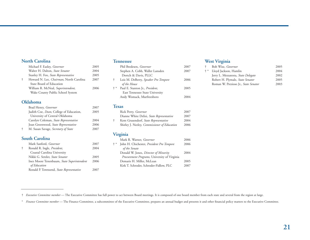#### **North Carolina**

|                      | Michael F. Easley, Governor             | 2005 |
|----------------------|-----------------------------------------|------|
|                      | Walter H. Dalton, State Senator         | 2004 |
|                      | Stanley H. Fox, State Representative    | 2005 |
| $\ddot{\phantom{1}}$ | Howard N. Lee, Chairman, North Carolina | 2007 |
|                      | State Board of Education                |      |
|                      | William R. McNeal, Superintendent,      | 2006 |
|                      | Wake County Public School System        |      |
|                      |                                         |      |

#### **Oklahoma**

|   | Brad Henry, Governor                            | 2007 |
|---|-------------------------------------------------|------|
|   | Judith Coe, <i>Dean</i> , College of Education, | 2005 |
|   | University of Central Oklahoma                  |      |
|   | Carolyn Coleman, State Representative           | 2004 |
|   | Joan Greenwood, State Representative            | 2006 |
| ÷ | M. Susan Savage, Secretary of State             | 2007 |

### **South Carolina**

| Mark Sanford, <i>Governor</i>              | 2007 |
|--------------------------------------------|------|
| Ronald R. Ingle, President,                | 2004 |
| Coastal Carolina University                |      |
| Nikki G. Setzler, State Senator            | 2005 |
| Inez Moore Tenenbaum, State Superintendent | 2006 |
| of Education                               |      |
| Ronald P. Townsend, State Representative   | 2007 |

#### **Tennessee**

|       | Phil Bredesen, Governor              | 2007 |
|-------|--------------------------------------|------|
|       | Stephen A. Cobb, Waller Lansden      | 2007 |
|       | Dortch & Davis, PLLC                 |      |
| ÷     | Lois M. DeBerry, Speaker Pro Tempore | 2006 |
|       | of the House                         |      |
| $+ *$ | Paul E. Stanton Jr., President,      | 2005 |
|       | East Tennessee State University      |      |
|       | Andy Womack, Murfreesboro            | 2004 |
|       |                                      |      |

#### **Texas**

| Rick Perry, Governor                         | 2007 |
|----------------------------------------------|------|
| Dianne White Delisi, State Representative    | 2007 |
| Kent Grusendorf, State Representative        | 2004 |
| Shirley J. Neeley, Commissioner of Education | 2006 |
|                                              |      |

### **Virginia**

|       | Mark R. Warner, Governor                     | 2006 |
|-------|----------------------------------------------|------|
| $+ *$ | John H. Chichester, President Pro Tempore    | 2006 |
|       | of the Senate                                |      |
|       | Donald W. Jones, Director of Minority        | 2004 |
|       | Procurement Programs, University of Virginia |      |
|       | Demaris H. Miller, McLean                    | 2005 |
|       | Kirk T. Schroder, Schroder-Fidlow, PLC       | 2007 |
|       |                                              |      |

# **West Virginia**

| Bob Wise, <i>Governor</i>            | 2005                  |
|--------------------------------------|-----------------------|
|                                      | 2004                  |
| Jerry L. Mezzatesta, State Delegate  | 2002                  |
| Robert H. Plymale, State Senator     | 2005                  |
| Roman W. Prezioso Jr., State Senator | 2003                  |
|                                      | Lloyd Jackson, Hamlin |

† *Executive Committee member* — The Executive Committee has full power to act between Board meetings. It is composed of one board member from each state and several from the region at large.

\* *Finance Committee member* — The Finance Committee, a subcommittee of the Executive Committee, prepares an annual budget and presents it and other financial policy matters to the Executive Committee.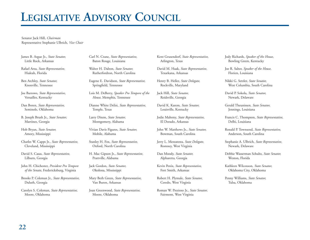# **LEGISLATIVE ADVISORY COUNCIL**

Senator Jack Hill, *Chairman* Representative Stephanie Ulbrich, *Vice Chair*

James B. Argue Jr., *State Senator,* Little Rock, Arkansas

Rafael Arza, *State Representative,* Hialeah, Florida

Ben Atchley, *State Senator,* Knoxville, Tennessee

Joe Barrows, *State Representative,* Versailles, Kentucky

Dan Boren, *State Representative,* Seminole, Oklahoma

B. Joseph Brush Jr., *State Senator,* Martinez, Georgia

Hob Bryan, *State Senator,* Amory, Mississippi

Charles W. Capps Jr., *State Representative,* Cleveland, Mississippi

David S. Casas, *State Representative,* Lilburn, Georgia

John H. Chichester, *President Pro Tempore of the Senate,* Fredericksburg, Virginia

Brooks P. Coleman Jr., *State Representative,* Duluth, Georgia

Carolyn S. Coleman, *State Representative,* Moore, Oklahoma

Carl N. Crane, *State Representative,* Baton Rouge, Louisiana

Walter H. Dalton, *State Senator,* Rutherfordton, North Carolina

Eugene E. Davidson, *State Representative,* Springfield, Tennessee

Lois M. DeBerry, *Speaker Pro Tempore of the House,* Memphis, Tennessee

Dianne White Delisi, *State Representative,* Temple, Texas

Larry Dixon, *State Senator,* Montgomery, Alabama

Vivian Davis Figures, *State Senator,* Mobile, Alabama

Stanley H. Fox, *State Representative,* Oxford, North Carolina

H. Mac Gipson Jr., *State Representative,* Prattville, Alabama

Jack Gordon, *State Senator,* Okolona, Mississippi

Mary Beth Green, *State Representative,* Van Buren, Arkansas

Joan Greenwood, *State Representative,* Moore, Oklahoma

Kent Grusendorf, *State Representative,* Arlington, Texas

David M. Haak, *State Representative,* Texarkana, Arkansas

Henry B. Heller, *State Delegate,* Rockville, Maryland

Jack Hill, *State Senator,* Reidsville, Georgia

David K. Karem, *State Senator,* Louisville, Kentucky

Jodie Mahony, *State Representative,* El Dorado, Arkansas

John W. Matthews Jr., *State Senator,* Bowman, South Carolina

Jerry L. Mezzatesta, *State Delegate,* Romney, West Virginia

Dan Moody, *State Senator,* Alpharetta, Georgia

Kevin Penix, *State Representative,* Fort Smith, Arkansas

Robert H. Plymale, *State Senator,* Ceredo, West Virginia

Roman W. Prezioso Jr., *State Senator,* Fairmont, West Virginia

Jody Richards, *Speaker of the House,* Bowling Green, Kentucky

Joe R. Salter, *Speaker of the House,* Florien, Louisiana

Nikki G. Setzler, *State Senator,* West Columbia, South Carolina

David P. Sokola, *State Senator,* Newark, Delaware

Gerald Theunissen, *State Senator,* Jennings, Louisiana

Francis C. Thompson, *State Representative,* Delhi, Louisiana

Ronald P. Townsend, *State Representative,* Anderson, South Carolina

Stephanie A. Ulbrich, *State Representative,* Newark, Delaware

Debbie Wasserman Schultz, *State Senator,* Weston, Florida

Kathleen Wilcoxson, *State Senator,* Oklahoma City, Oklahoma

Penny Williams, *State Senator,* Tulsa, Oklahoma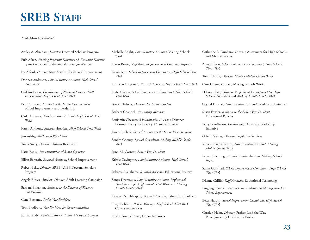# **SREB STAFF**

#### Mark Musick, *President*

- Ansley A. Abraham, *Director,* Doctoral Scholars Program
- Eula Aiken, *Nursing Programs Director* and *Executive Director of the Council on Collegiate Education for Nursing*
- Ivy Alford, *Director,* State Services for School Improvement
- Donnea Anderson, *Administrative Assistant, High Schools That Work*
- Gail Anderson, *Coordinator of National Summer Staff Development, High Schools That Work*
- Beth Andrews, *Assistant to the Senior Vice President,* School Improvement and Leadership
- Carla Andrews, *Administrative Assistant, High Schools That Work*
- Karen Anthony, *Research Associate, High Schools That Work*

Jim Ashby, *Mailroom/Office Clerk*

- Tricia Avery, *Director,* Human Resources
- Katie Banks, *Receptionist/Switchboard Operator*
- Jillian Barcroft, *Research Assistant,* School Improvement
- Robert Belle, *Director,* SREB-AGEP Doctoral Scholars Program
- Angela Birkes, *Associate Director,* Adult Learning Campaign
- Barbara Bohanon, *Assistant to the Director of Finance and Facilities*
- Gene Bottoms, *Senior Vice President*
- Tom Bradbury, *Vice President for Communications*
- Jamila Brady, *Administrative Assistant, Electronic Campus*
- Michelle Bright, *Administrative Assistant,* Making Schools Work
- Dawn Bristo, *Staff Associate for Regional Contract Programs*
- Kevin Burr, *School Improvement Consultant, High Schools That Work*
- Kathleen Carpenter, *Research Associate, High Schools That Work*
- Leslie Carson, *School Improvement Consultant, High Schools That Work*
- Bruce Chaloux, *Director, Electronic Campus*
- Barbara Channell, *Accounting Manager*
- Benjamin Cheaves, *Administrative Assistant,* Distance Learning Policy Laboratory/*Electronic Campus*
- James F. Clark, *Special Assistant to the Senior Vice President*
- Sondra Cooney, *Special Consultant, Making Middle Grades Work*
- Lynn M. Cornett, *Senior Vice President*
- Kristie Covington, *Administrative Assistant, High Schools That Work*
- Rebecca Daugherty, *Research Associate,* Educational Policies
- Sonya Devereaux, *Administrative Assistant, Professional Development for High Schools That Work* and *Making Middle Grades Work*
- Heather N. DiNapoli, *Research Associate,* Educational Policies
- Tony Dobbins, *Project Manager, High Schools That Work* Contracted Services
- Linda Dove, *Director,* Urban Initiatives
- Catherine L. Dunham, *Director,* Assessment for High Schools and Middle Grades
- Anne Edison, *School Improvement Consultant, High Schools That Work*
- Toni Eubank, *Director, Making Middle Grades Work*
- Caro Feagin, *Director,* Making Schools Work
- Deborah Fite, *Director, Professional Development for High Schools That Work* and *Making Middle Grades Work*
- Crystal Flowers, *Administrative Assistant,* Leadership Initiative
- Susan Fowler, *Assistant to the Senior Vice President,* Educational Policies
- Betty Fry-Ahearn, *Coordinator,* University Leadership Initiative
- Gale F. Gaines, *Director,* Legislative Services
- Vinicius Gates-Reeves, *Administrative Assistant, Making Middle Grades Work*
- Leonard Gatungo, *Administrative Assistant,* Making Schools Work
- Susan Gottfried, *School Improvement Consultant, High Schools That Work*
- Dianne Griffin, *Staff Associate,* Educational Technology
- Lingling Han, *Director of Data Analysis and Management for School Improvement*
- Betty Harbin, *School Improvement Consultant, High Schools That Work*
- Carolyn Helm, *Director,* Project Lead the Way, Pre-engineering Curriculum Project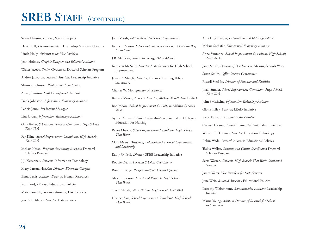# **SREB STAFF** (CONTINUED)

Susan Henson, *Director,* Special Projects David Hill, *Coordinator,* State Leadership Academy Network Linda Holly, *Assistant to the Vice President* Jenn Holmes, *Graphic Designer and Editorial Assistant* Walter Jacobs, *Senior Consultant,* Doctoral Scholars Program Andrea Jacobson, *Research Associate,* Leadership Initiative Shannon Johnson, *Publications Coordinator* Anna Johnston, *Staff Development Assistant* Frank Johnston, *Information Technology Assistant* Leticia Jones, *Production Manager* Lisa Jordan, *Information Technology Assistant* Gary Keller, *School Improvement Consultant, High Schools That Work* Fay Kline, *School Improvement Consultant, High Schools That Work*Melissa Koran, *Program Accounting Assistant,* Doctoral Scholars Program J.J. Kwashnak, *Director,* Information Technology Mary Larson, *Associate Director, Electronic Campus* Binta Lewis, *Assistant Director,* Human Resources

Joan Lord, *Director,* Educational Policies

Marie Loverde, *Research Assistant,* Data Services

Joseph L. Marks, *Director,* Data Services

John Marsh, *Editor/Writer for School Improvement*

- Kenneth Mason, *School Improvement and Project Lead the Way Consultant*
- J.B. Mathews, *Senior Technology Policy Adviser*
- Kathleen McNally, *Director,* State Services for High School Improvement
- James R. Mingle, *Director,* Distance Learning Policy Laboratory
- Charles W. Montgomery, *Accountant*

Barbara Moore, *Associate Director, Making Middle Grades Work*

Bob Moore, *School Improvement Consultant,* Making Schools Work

Ayinwi Muma, *Administrative Assistant,* Council on Collegiate Education for Nursing

Renee Murray, *School Improvement Consultant, High Schools That Work* 

Mary Myers, *Director of Publications for School Improvement and Leadership*

Kathy O'Neill, *Director,* SREB Leadership Initiative

Robbie Ouzts, *Doctoral Scholars Coordinator*

Rose Partridge, *Receptionist/Switchboard Operator*

- Alice E. Presson, *Director of Research, High Schools That Work*
- Traci Rylands, *Writer/Editor, High Schools That Work*
- Heather Sass, *School Improvement Consultant, High Schools That Work*

Amy L. Schneider, *Publications and Web Page Editor* Melissa Seehafer, *Educational Technology Assistant* Anne Simmons, *School Improvement Consultant, High Schools That Work* Janie Smith, *Director of Development,* Making Schools Work Susan Smith, *Office Services Coordinator* Russell Steel Jr., *Director of Finances and Facilities* Jinan Sumler, *School Improvement Consultant, High Schools That Work*John Swisshelm, *Information Technology Assistant* Gloria Talley, *Director,* LEAD Initiative Joyce Tallman, *Assistant to the President* Carline Thomas, *Administrative Assistant,* Urban Initiative William R. Thomas, *Director,* Education Technology Robin Wade, *Research Associate,* Educational Policies

Trakia Walker, *Institute and Grants Coordinator,* Doctoral Scholars Program

Scott Warren, *Director, High Schools That Work Contracted Services* 

James Watts, *Vice President for State Services*

- June Weis, *Research Associate,* Educational Policies
- Dorothy Whisenhunt, *Administrative Assistant,* Leadership Initiative

Marna Young, *Assistant Director of Research for School Improvement*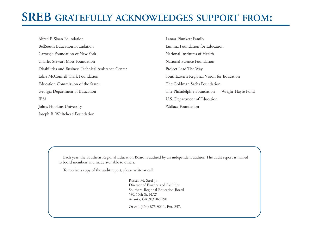# **SREB GRATEFULLY ACKNOWLEDGES SUPPORT FROM:**

Alfred P. Sloan FoundationBellSouth Education FoundationCarnegie Foundation of New York Charles Stewart Mott FoundationDisabilities and Business Technical Assistance Center Edna McConnell Clark FoundationEducation Commission of the StatesGeorgia Department of Education IBMJohns Hopkins University Joseph B. Whitehead Foundation

Lamar Plunkett Family Lumina Foundation for EducationNational Institutes of HealthNational Science FoundationProject Lead The Way SouthEastern Regional Vision for Education The Goldman Sachs FoundationThe Philadelphia Foundation — Wright-Hayre Fund U.S. Department of Education Wallace Foundation

Each year, the Southern Regional Education Board is audited by an independent auditor. The audit report is mailed to board members and made available to others.

To receive a copy of the audit report, please write or call:

Russell M. Steel Jr. Director of Finance and Facilities Southern Regional Education Board 592 10th St. N.W. Atlanta, GA 30318-5790

Or call (404) 875-9211, Ext. 257.